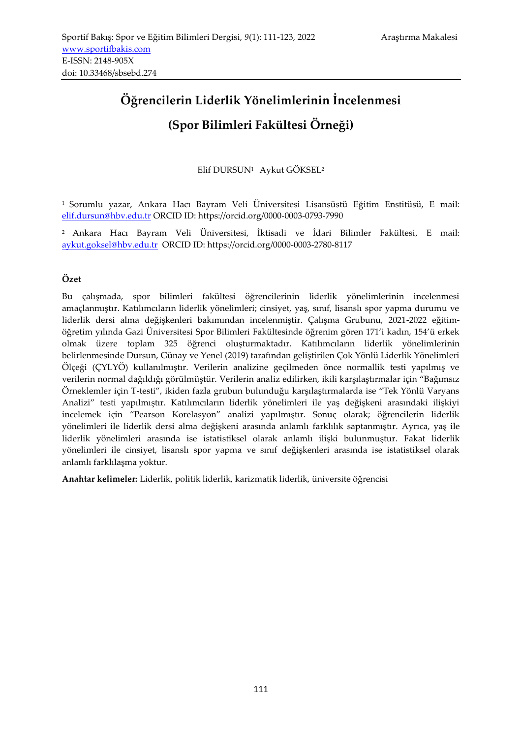# **Öğrencilerin Liderlik Yönelimlerinin İncelenmesi (Spor Bilimleri Fakültesi Örneği)**

Elif DURSUN1 Aykut GÖKSEL<sup>2</sup>

<sup>1</sup>Sorumlu yazar, Ankara Hacı Bayram Veli Üniversitesi Lisansüstü Eğitim Enstitüsü, E mail: [elif.dursun@hbv.edu.tr](mailto:elif.dursun@hbv.edu.tr) ORCID ID: https://orcid.org/0000-0003-0793-7990

<sup>2</sup>Ankara Hacı Bayram Veli Üniversitesi, İktisadi ve İdari Bilimler Fakültesi, E mail: [aykut.goksel@hbv.edu.tr](mailto:aykut.goksel@hbv.edu.tr) ORCID ID: https://orcid.org/0000-0003-2780-8117

# **Özet**

Bu çalışmada, spor bilimleri fakültesi öğrencilerinin liderlik yönelimlerinin incelenmesi amaçlanmıştır. Katılımcıların liderlik yönelimleri; cinsiyet, yaş, sınıf, lisanslı spor yapma durumu ve liderlik dersi alma değişkenleri bakımından incelenmiştir. Çalışma Grubunu, 2021-2022 eğitimöğretim yılında Gazi Üniversitesi Spor Bilimleri Fakültesinde öğrenim gören 171'i kadın, 154'ü erkek olmak üzere toplam 325 öğrenci oluşturmaktadır. Katılımcıların liderlik yönelimlerinin belirlenmesinde Dursun, Günay ve Yenel (2019) tarafından geliştirilen Çok Yönlü Liderlik Yönelimleri Ölçeği (ÇYLYÖ) kullanılmıştır. Verilerin analizine geçilmeden önce normallik testi yapılmış ve verilerin normal dağıldığı görülmüştür. Verilerin analiz edilirken, ikili karşılaştırmalar için "Bağımsız Örneklemler için T-testi", ikiden fazla grubun bulunduğu karşılaştırmalarda ise "Tek Yönlü Varyans Analizi" testi yapılmıştır. Katılımcıların liderlik yönelimleri ile yaş değişkeni arasındaki ilişkiyi incelemek için "Pearson Korelasyon" analizi yapılmıştır. Sonuç olarak; öğrencilerin liderlik yönelimleri ile liderlik dersi alma değişkeni arasında anlamlı farklılık saptanmıştır. Ayrıca, yaş ile liderlik yönelimleri arasında ise istatistiksel olarak anlamlı ilişki bulunmuştur. Fakat liderlik yönelimleri ile cinsiyet, lisanslı spor yapma ve sınıf değişkenleri arasında ise istatistiksel olarak anlamlı farklılaşma yoktur.

**Anahtar kelimeler:** Liderlik, politik liderlik, karizmatik liderlik, üniversite öğrencisi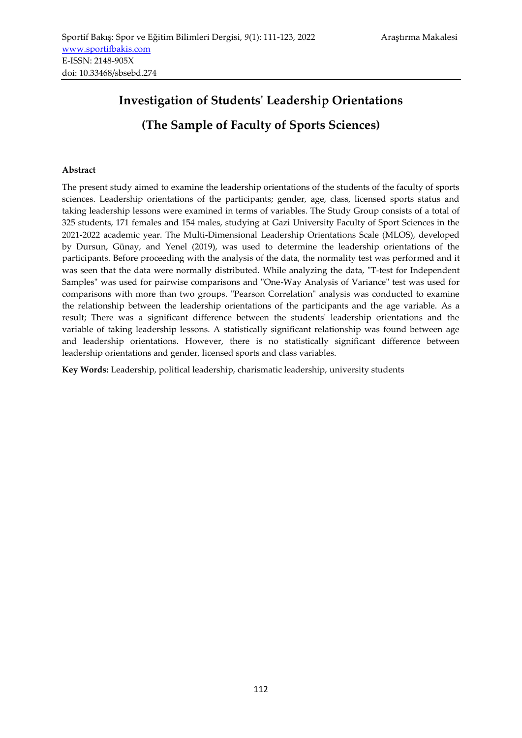# **Investigation of Students' Leadership Orientations (The Sample of Faculty of Sports Sciences)**

### **Abstract**

The present study aimed to examine the leadership orientations of the students of the faculty of sports sciences. Leadership orientations of the participants; gender, age, class, licensed sports status and taking leadership lessons were examined in terms of variables. The Study Group consists of a total of 325 students, 171 females and 154 males, studying at Gazi University Faculty of Sport Sciences in the 2021-2022 academic year. The Multi-Dimensional Leadership Orientations Scale (MLOS), developed by Dursun, Günay, and Yenel (2019), was used to determine the leadership orientations of the participants. Before proceeding with the analysis of the data, the normality test was performed and it was seen that the data were normally distributed. While analyzing the data, "T-test for Independent Samples" was used for pairwise comparisons and "One-Way Analysis of Variance" test was used for comparisons with more than two groups. "Pearson Correlation" analysis was conducted to examine the relationship between the leadership orientations of the participants and the age variable. As a result; There was a significant difference between the students' leadership orientations and the variable of taking leadership lessons. A statistically significant relationship was found between age and leadership orientations. However, there is no statistically significant difference between leadership orientations and gender, licensed sports and class variables.

**Key Words:** Leadership, political leadership, charismatic leadership, university students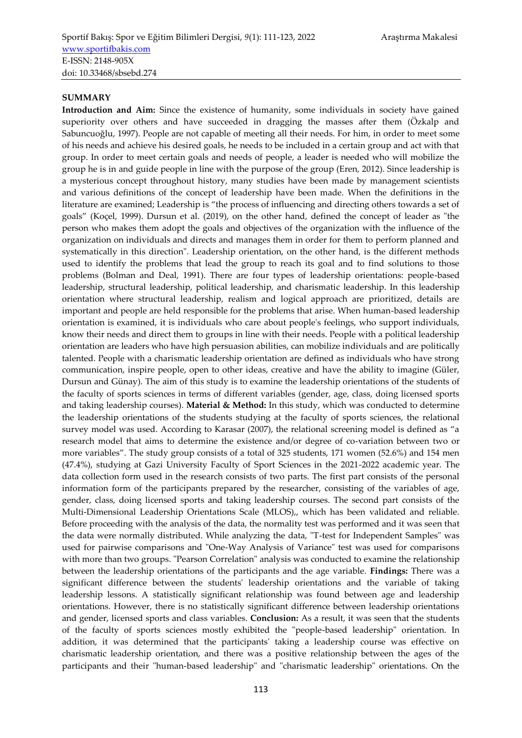#### **SUMMARY**

**Introduction and Aim:** Since the existence of humanity, some individuals in society have gained superiority over others and have succeeded in dragging the masses after them (Özkalp and Sabuncuoğlu, 1997). People are not capable of meeting all their needs. For him, in order to meet some of his needs and achieve his desired goals, he needs to be included in a certain group and act with that group. In order to meet certain goals and needs of people, a leader is needed who will mobilize the group he is in and guide people in line with the purpose of the group (Eren, 2012). Since leadership is a mysterious concept throughout history, many studies have been made by management scientists and various definitions of the concept of leadership have been made. When the definitions in the literature are examined; Leadership is "the process of influencing and directing others towards a set of goals" (Koçel, 1999). Dursun et al. (2019), on the other hand, defined the concept of leader as "the person who makes them adopt the goals and objectives of the organization with the influence of the organization on individuals and directs and manages them in order for them to perform planned and systematically in this direction". Leadership orientation, on the other hand, is the different methods used to identify the problems that lead the group to reach its goal and to find solutions to those problems (Bolman and Deal, 1991). There are four types of leadership orientations: people-based leadership, structural leadership, political leadership, and charismatic leadership. In this leadership orientation where structural leadership, realism and logical approach are prioritized, details are important and people are held responsible for the problems that arise. When human-based leadership orientation is examined, it is individuals who care about people's feelings, who support individuals, know their needs and direct them to groups in line with their needs. People with a political leadership orientation are leaders who have high persuasion abilities, can mobilize individuals and are politically talented. People with a charismatic leadership orientation are defined as individuals who have strong communication, inspire people, open to other ideas, creative and have the ability to imagine (Güler, Dursun and Günay). The aim of this study is to examine the leadership orientations of the students of the faculty of sports sciences in terms of different variables (gender, age, class, doing licensed sports and taking leadership courses). **Material & Method:** In this study, which was conducted to determine the leadership orientations of the students studying at the faculty of sports sciences, the relational survey model was used. According to Karasar (2007), the relational screening model is defined as "a research model that aims to determine the existence and/or degree of co-variation between two or more variables". The study group consists of a total of 325 students, 171 women (52.6%) and 154 men (47.4%), studying at Gazi University Faculty of Sport Sciences in the 2021-2022 academic year. The data collection form used in the research consists of two parts. The first part consists of the personal information form of the participants prepared by the researcher, consisting of the variables of age, gender, class, doing licensed sports and taking leadership courses. The second part consists of the Multi-Dimensional Leadership Orientations Scale (MLOS),, which has been validated and reliable. Before proceeding with the analysis of the data, the normality test was performed and it was seen that the data were normally distributed. While analyzing the data, "T-test for Independent Samples" was used for pairwise comparisons and "One-Way Analysis of Variance" test was used for comparisons with more than two groups. "Pearson Correlation" analysis was conducted to examine the relationship between the leadership orientations of the participants and the age variable. **Findings:** There was a significant difference between the students' leadership orientations and the variable of taking leadership lessons. A statistically significant relationship was found between age and leadership orientations. However, there is no statistically significant difference between leadership orientations and gender, licensed sports and class variables. **Conclusion:** As a result, it was seen that the students of the faculty of sports sciences mostly exhibited the "people-based leadership" orientation. In addition, it was determined that the participants' taking a leadership course was effective on charismatic leadership orientation, and there was a positive relationship between the ages of the participants and their "human-based leadership" and "charismatic leadership" orientations. On the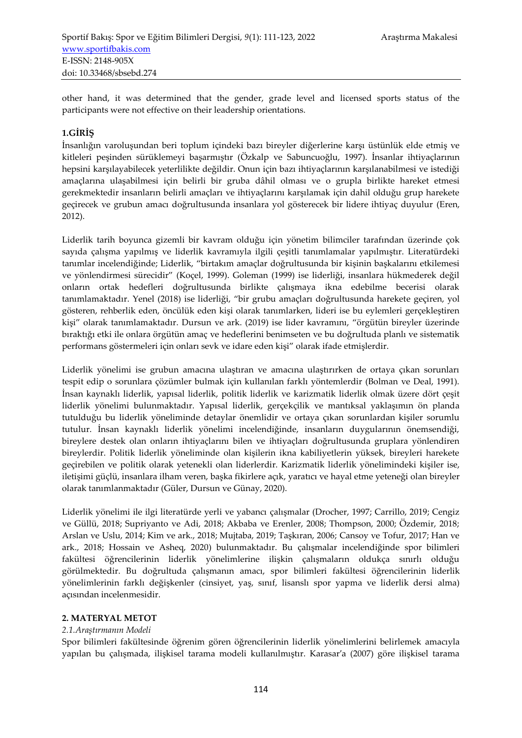other hand, it was determined that the gender, grade level and licensed sports status of the participants were not effective on their leadership orientations.

# **1.GİRİŞ**

İnsanlığın varoluşundan beri toplum içindeki bazı bireyler diğerlerine karşı üstünlük elde etmiş ve kitleleri peşinden sürüklemeyi başarmıştır (Özkalp ve Sabuncuoğlu, 1997). İnsanlar ihtiyaçlarının hepsini karşılayabilecek yeterlilikte değildir. Onun için bazı ihtiyaçlarının karşılanabilmesi ve istediği amaçlarına ulaşabilmesi için belirli bir gruba dâhil olması ve o grupla birlikte hareket etmesi gerekmektedir insanların belirli amaçları ve ihtiyaçlarını karşılamak için dahil olduğu grup harekete geçirecek ve grubun amacı doğrultusunda insanlara yol gösterecek bir lidere ihtiyaç duyulur (Eren, 2012).

Liderlik tarih boyunca gizemli bir kavram olduğu için yönetim bilimciler tarafından üzerinde çok sayıda çalışma yapılmış ve liderlik kavramıyla ilgili çeşitli tanımlamalar yapılmıştır. Literatürdeki tanımlar incelendiğinde; Liderlik, "birtakım amaçlar doğrultusunda bir kişinin başkalarını etkilemesi ve yönlendirmesi sürecidir" (Koçel, 1999). Goleman (1999) ise liderliği, insanlara hükmederek değil onların ortak hedefleri doğrultusunda birlikte çalışmaya ikna edebilme becerisi olarak tanımlamaktadır. Yenel (2018) ise liderliği, "bir grubu amaçları doğrultusunda harekete geçiren, yol gösteren, rehberlik eden, öncülük eden kişi olarak tanımlarken, lideri ise bu eylemleri gerçekleştiren kişi" olarak tanımlamaktadır. Dursun ve ark. (2019) ise lider kavramını, "örgütün bireyler üzerinde bıraktığı etki ile onlara örgütün amaç ve hedeflerini benimseten ve bu doğrultuda planlı ve sistematik performans göstermeleri için onları sevk ve idare eden kişi" olarak ifade etmişlerdir.

Liderlik yönelimi ise grubun amacına ulaştıran ve amacına ulaştırırken de ortaya çıkan sorunları tespit edip o sorunlara çözümler bulmak için kullanılan farklı yöntemlerdir (Bolman ve Deal, 1991). İnsan kaynaklı liderlik, yapısal liderlik, politik liderlik ve karizmatik liderlik olmak üzere dört çeşit liderlik yönelimi bulunmaktadır. Yapısal liderlik, gerçekçilik ve mantıksal yaklaşımın ön planda tutulduğu bu liderlik yöneliminde detaylar önemlidir ve ortaya çıkan sorunlardan kişiler sorumlu tutulur. İnsan kaynaklı liderlik yönelimi incelendiğinde, insanların duygularının önemsendiği, bireylere destek olan onların ihtiyaçlarını bilen ve ihtiyaçları doğrultusunda gruplara yönlendiren bireylerdir. Politik liderlik yöneliminde olan kişilerin ikna kabiliyetlerin yüksek, bireyleri harekete geçirebilen ve politik olarak yetenekli olan liderlerdir. Karizmatik liderlik yönelimindeki kişiler ise, iletişimi güçlü, insanlara ilham veren, başka fikirlere açık, yaratıcı ve hayal etme yeteneği olan bireyler olarak tanımlanmaktadır (Güler, Dursun ve Günay, 2020).

Liderlik yönelimi ile ilgi literatürde yerli ve yabancı çalışmalar (Drocher, 1997; Carrillo, 2019; Cengiz ve Güllü, 2018; Supriyanto ve Adi, 2018; Akbaba ve Erenler, 2008; Thompson, 2000; Özdemir, 2018; Arslan ve Uslu, 2014; Kim ve ark., 2018; Mujtaba, 2019; Taşkıran, 2006; Cansoy ve Tofur, 2017; Han ve ark., 2018; Hossain ve Asheq, 2020) bulunmaktadır. Bu çalışmalar incelendiğinde spor bilimleri fakültesi öğrencilerinin liderlik yönelimlerine ilişkin çalışmaların oldukça sınırlı olduğu görülmektedir. Bu doğrultuda çalışmanın amacı, spor bilimleri fakültesi öğrencilerinin liderlik yönelimlerinin farklı değişkenler (cinsiyet, yaş, sınıf, lisanslı spor yapma ve liderlik dersi alma) açısından incelenmesidir.

## **2. MATERYAL METOT**

#### *2.1.Araştırmanın Modeli*

Spor bilimleri fakültesinde öğrenim gören öğrencilerinin liderlik yönelimlerini belirlemek amacıyla yapılan bu çalışmada, ilişkisel tarama modeli kullanılmıştır. Karasar′a (2007) göre ilişkisel tarama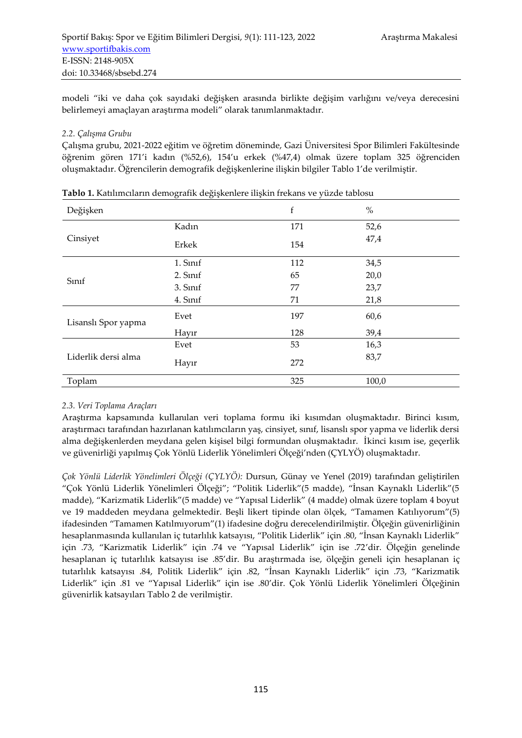modeli "iki ve daha çok sayıdaki değişken arasında birlikte değişim varlığını ve/veya derecesini belirlemeyi amaçlayan araştırma modeli" olarak tanımlanmaktadır.

## *2.2. Çalışma Grubu*

Çalışma grubu, 2021-2022 eğitim ve öğretim döneminde, Gazi Üniversitesi Spor Bilimleri Fakültesinde öğrenim gören 171'i kadın (%52,6), 154'u erkek (%47,4) olmak üzere toplam 325 öğrenciden oluşmaktadır. Öğrencilerin demografik değişkenlerine ilişkin bilgiler Tablo 1'de verilmiştir.

| Değişken            |          | f   | $\%$  |
|---------------------|----------|-----|-------|
|                     | Kadın    | 171 | 52,6  |
| Cinsiyet            | Erkek    | 154 | 47,4  |
|                     | 1. Sinif | 112 | 34,5  |
| Sinif               | 2. Sinif | 65  | 20,0  |
|                     | 3. Sinif | 77  | 23,7  |
|                     | 4. Sinif | 71  | 21,8  |
| Lisanslı Spor yapma | Evet     | 197 | 60,6  |
|                     | Hayır    | 128 | 39,4  |
|                     | Evet     | 53  | 16,3  |
| Liderlik dersi alma | Hayır    | 272 | 83,7  |
| Toplam              |          | 325 | 100,0 |

**Tablo 1.** Katılımcıların demografik değişkenlere ilişkin frekans ve yüzde tablosu

## *2.3. Veri Toplama Araçları*

Araştırma kapsamında kullanılan veri toplama formu iki kısımdan oluşmaktadır. Birinci kısım, araştırmacı tarafından hazırlanan katılımcıların yaş, cinsiyet, sınıf, lisanslı spor yapma ve liderlik dersi alma değişkenlerden meydana gelen kişisel bilgi formundan oluşmaktadır. İkinci kısım ise, geçerlik ve güvenirliği yapılmış Çok Yönlü Liderlik Yönelimleri Ölçeği'nden (ÇYLYÖ) oluşmaktadır.

*Çok Yönlü Liderlik Yönelimleri Ölçeği (ÇYLYÖ):* Dursun, Günay ve Yenel (2019) tarafından geliştirilen "Çok Yönlü Liderlik Yönelimleri Ölçeği"; "Politik Liderlik"(5 madde), "İnsan Kaynaklı Liderlik"(5 madde), "Karizmatik Liderlik"(5 madde) ve "Yapısal Liderlik" (4 madde) olmak üzere toplam 4 boyut ve 19 maddeden meydana gelmektedir. Beşli likert tipinde olan ölçek, "Tamamen Katılıyorum"(5) ifadesinden "Tamamen Katılmıyorum"(1) ifadesine doğru derecelendirilmiştir. Ölçeğin güvenirliğinin hesaplanmasında kullanılan iç tutarlılık katsayısı, "Politik Liderlik" için .80, "İnsan Kaynaklı Liderlik" için .73, "Karizmatik Liderlik" için .74 ve "Yapısal Liderlik" için ise .72'dir. Ölçeğin genelinde hesaplanan iç tutarlılık katsayısı ise .85'dir. Bu araştırmada ise, ölçeğin geneli için hesaplanan iç tutarlılık katsayısı .84, Politik Liderlik" için .82, "İnsan Kaynaklı Liderlik" için .73, "Karizmatik Liderlik" için .81 ve "Yapısal Liderlik" için ise .80'dir. Çok Yönlü Liderlik Yönelimleri Ölçeğinin güvenirlik katsayıları Tablo 2 de verilmiştir.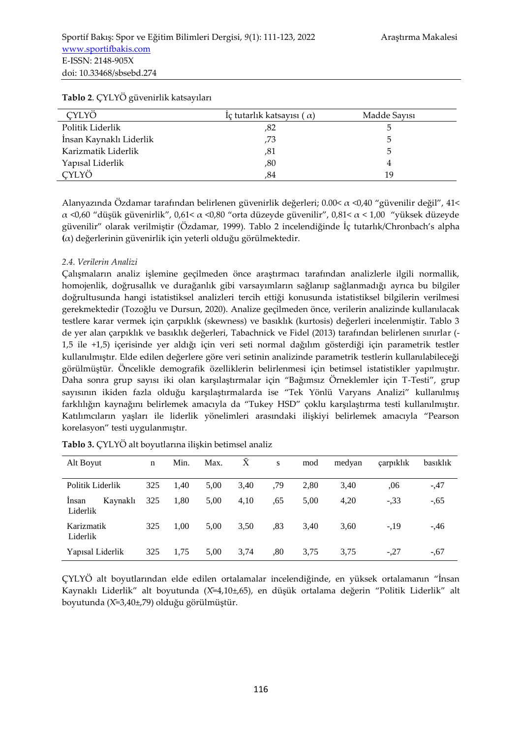| $\cdot$                 |                                  |              |
|-------------------------|----------------------------------|--------------|
| CYLYÖ                   | Iç tutarlık katsayısı $(\alpha)$ | Madde Savisi |
| Politik Liderlik        | ,82                              |              |
| İnsan Kaynaklı Liderlik | .73                              |              |
| Karizmatik Liderlik     | ,81                              |              |
| Yapısal Liderlik        | ,80                              |              |
| CYLYÖ                   | .84                              | 19           |

#### **Tablo 2**. ÇYLYÖ güvenirlik katsayıları

Alanyazında Özdamar tarafından belirlenen güvenirlik değerleri; 0.00<  $\alpha$  <0.40 "güvenilir değil", 41< α <0,60 "düşük güvenirlik", 0,61< α <0,80 "orta düzeyde güvenilir", 0,81< α < 1,00 "yüksek düzeyde güvenilir" olarak verilmiştir (Özdamar, 1999). Tablo 2 incelendiğinde İç tutarlık/Chronbach's alpha **(**α) değerlerinin güvenirlik için yeterli olduğu görülmektedir.

#### *2.4. Verilerin Analizi*

Çalışmaların analiz işlemine geçilmeden önce araştırmacı tarafından analizlerle ilgili normallik, homojenlik, doğrusallık ve durağanlık gibi varsayımların sağlanıp sağlanmadığı ayrıca bu bilgiler doğrultusunda hangi istatistiksel analizleri tercih ettiği konusunda istatistiksel bilgilerin verilmesi gerekmektedir (Tozoğlu ve Dursun, 2020). Analize geçilmeden önce, verilerin analizinde kullanılacak testlere karar vermek için çarpıklık (skewness) ve basıklık (kurtosis) değerleri incelenmiştir. Tablo 3 de yer alan çarpıklık ve basıklık değerleri, Tabachnick ve Fidel (2013) tarafından belirlenen sınırlar (- 1,5 ile +1,5) içerisinde yer aldığı için veri seti normal dağılım gösterdiği için parametrik testler kullanılmıştır. Elde edilen değerlere göre veri setinin analizinde parametrik testlerin kullanılabileceği görülmüştür. Öncelikle demografik özelliklerin belirlenmesi için betimsel istatistikler yapılmıştır. Daha sonra grup sayısı iki olan karşılaştırmalar için "Bağımsız Örneklemler için T-Testi", grup sayısının ikiden fazla olduğu karşılaştırmalarda ise "Tek Yönlü Varyans Analizi" kullanılmış farklılığın kaynağını belirlemek amacıyla da "Tukey HSD" çoklu karşılaştırma testi kullanılmıştır. Katılımcıların yaşları ile liderlik yönelimleri arasındaki ilişkiyi belirlemek amacıyla "Pearson korelasyon" testi uygulanmıştır.

| Alt Boyut                     | n   | Min. | Max. | $\rm\overline{X}$ | S   | mod  | medyan | carpiklik | basıklık |
|-------------------------------|-----|------|------|-------------------|-----|------|--------|-----------|----------|
| Politik Liderlik              | 325 | 1,40 | 5,00 | 3,40              | ,79 | 2,80 | 3,40   | .06       | $-0.47$  |
| Insan<br>Kaynaklı<br>Liderlik | 325 | 1,80 | 5,00 | 4,10              | .65 | 5,00 | 4,20   | $-.33$    | $-0.65$  |
| Karizmatik<br>Liderlik        | 325 | 1.00 | 5,00 | 3,50              | .83 | 3,40 | 3,60   | $-19$     | $-.46$   |
| Yapısal Liderlik              | 325 | 1.75 | 5.00 | 3.74              | .80 | 3.75 | 3.75   | $-.27$    | $-.67$   |

**Tablo 3.** ÇYLYÖ alt boyutlarına ilişkin betimsel analiz

ÇYLYÖ alt boyutlarından elde edilen ortalamalar incelendiğinde, en yüksek ortalamanın "İnsan Kaynaklı Liderlik" alt boyutunda (X̄=4,10±,65), en düşük ortalama değerin "Politik Liderlik" alt boyutunda (X̄=3,40±,79) olduğu görülmüştür.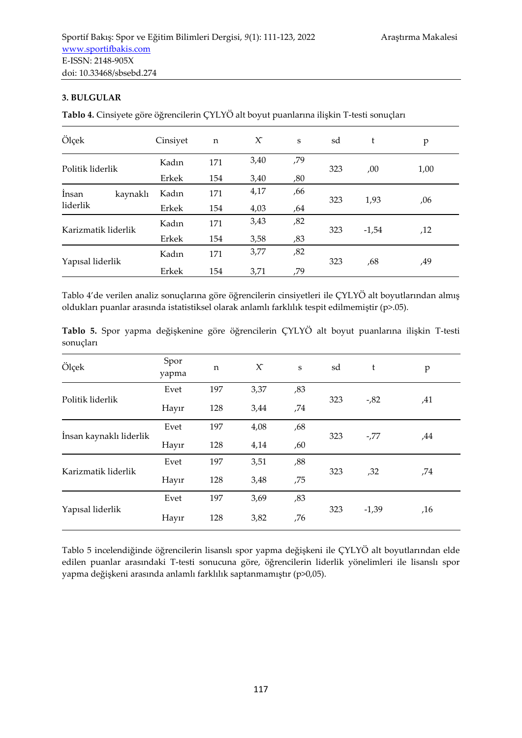# **3. BULGULAR**

**Tablo 4.** Cinsiyete göre öğrencilerin ÇYLYÖ alt boyut puanlarına ilişkin T-testi sonuçları

| Ölçek               | Cinsiyet | $\mathbf n$ | $\chi$ | S   | sd  | t       | p    |
|---------------------|----------|-------------|--------|-----|-----|---------|------|
| Politik liderlik    | Kadın    | 171         | 3,40   | ,79 | 323 |         |      |
|                     | Erkek    | 154         | 3,40   | ,80 |     | ,00     | 1,00 |
| İnsan<br>kaynaklı   | Kadın    | 171         | 4,17   | ,66 |     |         |      |
| liderlik            | Erkek    | 154         | 4,03   | ,64 | 323 | 1,93    | ,06  |
| Karizmatik liderlik | Kadın    | 171         | 3,43   | ,82 |     |         |      |
|                     | Erkek    | 154         | 3,58   | ,83 | 323 | $-1,54$ | ,12  |
|                     | Kadın    | 171         | 3,77   | ,82 |     |         |      |
| Yapısal liderlik    | Erkek    | 154         | 3,71   | ,79 | 323 | ,68     | ,49  |

Tablo 4'de verilen analiz sonuçlarına göre öğrencilerin cinsiyetleri ile ÇYLYÖ alt boyutlarından almış oldukları puanlar arasında istatistiksel olarak anlamlı farklılık tespit edilmemiştir (p>.05).

|           |  | Tablo 5. Spor yapma değişkenine göre öğrencilerin ÇYLYÖ alt boyut puanlarına ilişkin T-testi |  |  |  |  |
|-----------|--|----------------------------------------------------------------------------------------------|--|--|--|--|
| sonucları |  |                                                                                              |  |  |  |  |

| Ölçek                   | Spor<br>yapma | n   | $\chi$ | $\mathbf S$ | sd  | t       | p   |
|-------------------------|---------------|-----|--------|-------------|-----|---------|-----|
|                         | Evet          | 197 | 3,37   | ,83         |     |         |     |
| Politik liderlik        | Hayır         | 128 | 3,44   | ,74         | 323 | $-0.82$ | ,41 |
|                         | Evet          | 197 | 4,08   | ,68         | 323 | $-77$   |     |
| İnsan kaynaklı liderlik | Hayır         | 128 | 4,14   | ,60         |     |         | ,44 |
|                         | Evet          | 197 | 3,51   | ,88         |     |         |     |
| Karizmatik liderlik     | Hayır         | 128 | 3,48   | ,75         | 323 | ,32     | ,74 |
|                         | Evet          | 197 | 3,69   | ,83         |     |         |     |
| Yapısal liderlik        | Hayır         | 128 | 3,82   | ,76         | 323 | $-1,39$ | ,16 |

Tablo 5 incelendiğinde öğrencilerin lisanslı spor yapma değişkeni ile ÇYLYÖ alt boyutlarından elde edilen puanlar arasındaki T-testi sonucuna göre, öğrencilerin liderlik yönelimleri ile lisanslı spor yapma değişkeni arasında anlamlı farklılık saptanmamıştır (p>0,05).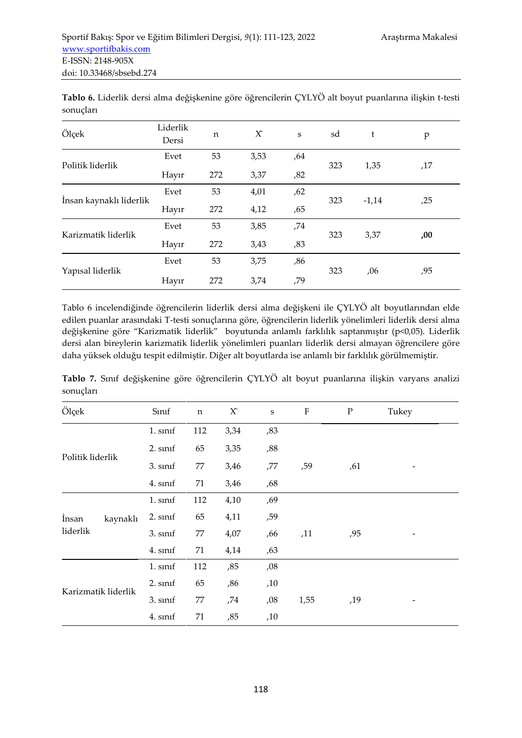| Ölçek                   | Liderlik<br>Dersi | n   | $\chi$ | $\mathbf S$ | sd  | t       | p   |
|-------------------------|-------------------|-----|--------|-------------|-----|---------|-----|
|                         | Evet              | 53  | 3,53   | ,64         |     |         |     |
| Politik liderlik        | Hayır             | 272 | 3,37   | ,82         | 323 | 1,35    | ,17 |
|                         | Evet              | 53  | 4,01   | ,62         |     |         |     |
| İnsan kaynaklı liderlik | Hayır             | 272 | 4,12   | ,65         | 323 | $-1,14$ | ,25 |
|                         | Evet              | 53  | 3,85   | ,74         |     |         |     |
| Karizmatik liderlik     | Hayır             | 272 | 3,43   | ,83         | 323 | 3,37    | ,00 |
|                         | Evet              | 53  | 3,75   | ,86         |     |         |     |
| Yapısal liderlik        | Hayır             | 272 | 3,74   | ,79         | 323 | ,06     | ,95 |

**Tablo 6.** Liderlik dersi alma değişkenine göre öğrencilerin ÇYLYÖ alt boyut puanlarına ilişkin t-testi sonuçları

Tablo 6 incelendiğinde öğrencilerin liderlik dersi alma değişkeni ile ÇYLYÖ alt boyutlarından elde edilen puanlar arasındaki T-testi sonuçlarına göre, öğrencilerin liderlik yönelimleri liderlik dersi alma değişkenine göre "Karizmatik liderlik" boyutunda anlamlı farklılık saptanmıştır (p<0,05). Liderlik dersi alan bireylerin karizmatik liderlik yönelimleri puanları liderlik dersi almayan öğrencilere göre daha yüksek olduğu tespit edilmiştir. Diğer alt boyutlarda ise anlamlı bir farklılık görülmemiştir.

|           |  | Tablo 7. Sınıf değişkenine göre öğrencilerin ÇYLYÖ alt boyut puanlarına ilişkin varyans analizi |  |  |  |  |
|-----------|--|-------------------------------------------------------------------------------------------------|--|--|--|--|
| sonuclari |  |                                                                                                 |  |  |  |  |

| Ölçek               | Sinif    | $\mathbf n$ | $\chi$ | $\mathbf S$ | ${\bf F}$ | ${\bf P}$ | Tukey |  |
|---------------------|----------|-------------|--------|-------------|-----------|-----------|-------|--|
|                     | 1. sinif | 112         | 3,34   | ,83         |           |           |       |  |
|                     | 2. sinif | 65          | 3,35   | ,88         |           |           |       |  |
| Politik liderlik    | 3. sinif | 77          | 3,46   | ,77         | ,59       | ,61       | -     |  |
|                     | 4. sinif | 71          | 3,46   | ,68         |           |           |       |  |
|                     | 1. sinif | 112         | 4,10   | ,69         |           |           |       |  |
| İnsan<br>kaynaklı   | 2. sinif | 65          | 4,11   | ,59         |           |           |       |  |
| liderlik            | 3. sinif | 77          | 4,07   | ,66         | ,11       | ,95       |       |  |
|                     | 4. sinif | 71          | 4,14   | ,63         |           |           |       |  |
|                     | 1. sinif | 112         | ,85    | ,08         |           |           |       |  |
| Karizmatik liderlik | 2. sinif | 65          | ,86    | ,10         |           |           |       |  |
|                     | 3. sinif | 77          | ,74    | ,08         | 1,55      | ,19       |       |  |
|                     | 4. sinif | 71          | ,85    | ,10         |           |           |       |  |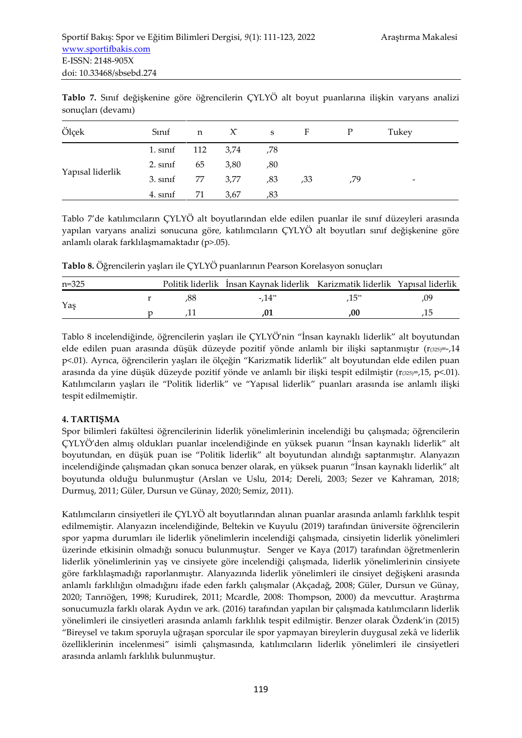| Ölçek            | Sinif             | n   | $\boldsymbol{\chi}$ | S   | $\mathbf{F}$ | P   | Tukey                    |  |
|------------------|-------------------|-----|---------------------|-----|--------------|-----|--------------------------|--|
| Yapısal liderlik | 1. sinif 112 3,74 |     |                     | ,78 |              |     |                          |  |
|                  | 2. sinif          | 65  | 3,80                | ,80 |              |     |                          |  |
|                  | 3. sinif          |     | 77 3,77             | ,83 | ,33          | .79 | $\overline{\phantom{a}}$ |  |
|                  | 4. sinif          | -71 | 3,67                | ,83 |              |     |                          |  |

**Tablo 7.** Sınıf değişkenine göre öğrencilerin ÇYLYÖ alt boyut puanlarına ilişkin varyans analizi sonuçları (devamı)

Tablo 7'de katılımcıların ÇYLYÖ alt boyutlarından elde edilen puanlar ile sınıf düzeyleri arasında yapılan varyans analizi sonucuna göre, katılımcıların ÇYLYÖ alt boyutları sınıf değişkenine göre anlamlı olarak farklılaşmamaktadır (p>.05).

**Tablo 8.** Öğrencilerin yaşları ile ÇYLYÖ puanlarının Pearson Korelasyon sonuçları

| $n = 325$ |  | Politik liderlik İnsan Kaynak liderlik Karizmatik liderlik Yapısal liderlik |  |
|-----------|--|-----------------------------------------------------------------------------|--|
| Yas       |  | $-14^{**}$                                                                  |  |
|           |  |                                                                             |  |

Tablo 8 incelendiğinde, öğrencilerin yaşları ile ÇYLYÖ'nin "İnsan kaynaklı liderlik" alt boyutundan elde edilen puan arasında düşük düzeyde pozitif yönde anlamlı bir ilişki saptanmıştır ( $r_{(325)} = -14$ p<.01). Ayrıca, öğrencilerin yaşları ile ölçeğin "Karizmatik liderlik" alt boyutundan elde edilen puan arasında da yine düşük düzeyde pozitif yönde ve anlamlı bir ilişki tespit edilmiştir ( $r_{(325)}$ =,15, p<.01). Katılımcıların yaşları ile "Politik liderlik" ve "Yapısal liderlik" puanları arasında ise anlamlı ilişki tespit edilmemiştir.

# **4. TARTIŞMA**

Spor bilimleri fakültesi öğrencilerinin liderlik yönelimlerinin incelendiği bu çalışmada; öğrencilerin ÇYLYÖ'den almış oldukları puanlar incelendiğinde en yüksek puanın "İnsan kaynaklı liderlik" alt boyutundan, en düşük puan ise "Politik liderlik" alt boyutundan alındığı saptanmıştır. Alanyazın incelendiğinde çalışmadan çıkan sonuca benzer olarak, en yüksek puanın "İnsan kaynaklı liderlik" alt boyutunda olduğu bulunmuştur (Arslan ve Uslu, 2014; Dereli, 2003; Sezer ve Kahraman, 2018; Durmuş, 2011; Güler, Dursun ve Günay, 2020; Semiz, 2011).

Katılımcıların cinsiyetleri ile ÇYLYÖ alt boyutlarından alınan puanlar arasında anlamlı farklılık tespit edilmemiştir. Alanyazın incelendiğinde, Beltekin ve Kuyulu (2019) tarafından üniversite öğrencilerin spor yapma durumları ile liderlik yönelimlerin incelendiği çalışmada, cinsiyetin liderlik yönelimleri üzerinde etkisinin olmadığı sonucu bulunmuştur. Senger ve Kaya (2017) tarafından öğretmenlerin liderlik yönelimlerinin yaş ve cinsiyete göre incelendiği çalışmada, liderlik yönelimlerinin cinsiyete göre farklılaşmadığı raporlanmıştır. Alanyazında liderlik yönelimleri ile cinsiyet değişkeni arasında anlamlı farklılığın olmadığını ifade eden farklı çalışmalar (Akçadağ, 2008; Güler, Dursun ve Günay, 2020; Tanrıöğen, 1998; Kurudirek, 2011; Mcardle, 2008: Thompson, 2000) da mevcuttur. Araştırma sonucumuzla farklı olarak Aydın ve ark. (2016) tarafından yapılan bir çalışmada katılımcıların liderlik yönelimleri ile cinsiyetleri arasında anlamlı farklılık tespit edilmiştir. Benzer olarak Özdenk'in (2015) "Bireysel ve takım sporuyla uğraşan sporcular ile spor yapmayan bireylerin duygusal zekâ ve liderlik özelliklerinin incelenmesi" isimli çalışmasında, katılımcıların liderlik yönelimleri ile cinsiyetleri arasında anlamlı farklılık bulunmuştur.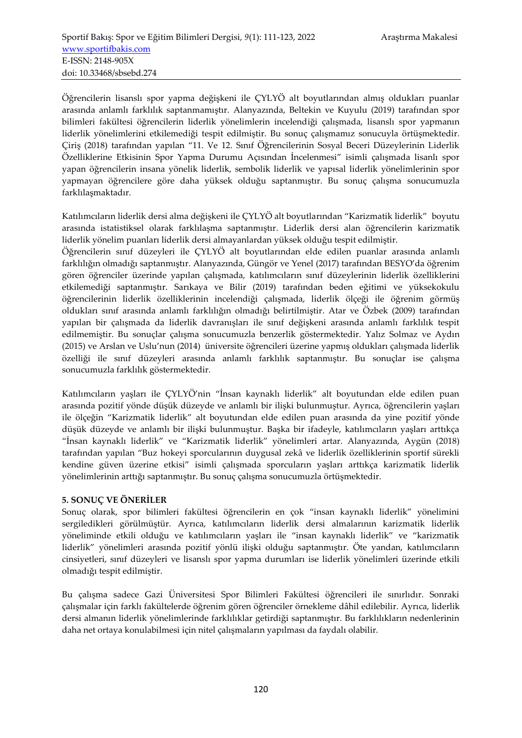Öğrencilerin lisanslı spor yapma değişkeni ile ÇYLYÖ alt boyutlarından almış oldukları puanlar arasında anlamlı farklılık saptanmamıştır. Alanyazında, Beltekin ve Kuyulu (2019) tarafından spor bilimleri fakültesi öğrencilerin liderlik yönelimlerin incelendiği çalışmada, lisanslı spor yapmanın liderlik yönelimlerini etkilemediği tespit edilmiştir. Bu sonuç çalışmamız sonucuyla örtüşmektedir. Çiriş (2018) tarafından yapılan "11. Ve 12. Sınıf Öğrencilerinin Sosyal Beceri Düzeylerinin Liderlik Özelliklerine Etkisinin Spor Yapma Durumu Açısından İncelenmesi" isimli çalışmada lisanlı spor yapan öğrencilerin insana yönelik liderlik, sembolik liderlik ve yapısal liderlik yönelimlerinin spor yapmayan öğrencilere göre daha yüksek olduğu saptanmıştır. Bu sonuç çalışma sonucumuzla farklılaşmaktadır.

Katılımcıların liderlik dersi alma değişkeni ile ÇYLYÖ alt boyutlarından "Karizmatik liderlik" boyutu arasında istatistiksel olarak farklılaşma saptanmıştır. Liderlik dersi alan öğrencilerin karizmatik liderlik yönelim puanları liderlik dersi almayanlardan yüksek olduğu tespit edilmiştir.

Öğrencilerin sınıf düzeyleri ile ÇYLYÖ alt boyutlarından elde edilen puanlar arasında anlamlı farklılığın olmadığı saptanmıştır. Alanyazında, Güngör ve Yenel (2017) tarafından BESYO'da öğrenim gören öğrenciler üzerinde yapılan çalışmada, katılımcıların sınıf düzeylerinin liderlik özelliklerini etkilemediği saptanmıştır. Sarıkaya ve Bilir (2019) tarafından beden eğitimi ve yüksekokulu öğrencilerinin liderlik özelliklerinin incelendiği çalışmada, liderlik ölçeği ile öğrenim görmüş oldukları sınıf arasında anlamlı farklılığın olmadığı belirtilmiştir. Atar ve Özbek (2009) tarafından yapılan bir çalışmada da liderlik davranışları ile sınıf değişkeni arasında anlamlı farklılık tespit edilmemiştir. Bu sonuçlar çalışma sonucumuzla benzerlik göstermektedir. Yalız Solmaz ve Aydın (2015) ve Arslan ve Uslu'nun (2014) üniversite öğrencileri üzerine yapmış oldukları çalışmada liderlik özelliği ile sınıf düzeyleri arasında anlamlı farklılık saptanmıştır. Bu sonuçlar ise çalışma sonucumuzla farklılık göstermektedir.

Katılımcıların yaşları ile ÇYLYÖ'nin "İnsan kaynaklı liderlik" alt boyutundan elde edilen puan arasında pozitif yönde düşük düzeyde ve anlamlı bir ilişki bulunmuştur. Ayrıca, öğrencilerin yaşları ile ölçeğin "Karizmatik liderlik" alt boyutundan elde edilen puan arasında da yine pozitif yönde düşük düzeyde ve anlamlı bir ilişki bulunmuştur. Başka bir ifadeyle, katılımcıların yaşları arttıkça "İnsan kaynaklı liderlik" ve "Karizmatik liderlik" yönelimleri artar. Alanyazında, Aygün (2018) tarafından yapılan "Buz hokeyi sporcularının duygusal zekâ ve liderlik özelliklerinin sportif sürekli kendine güven üzerine etkisi" isimli çalışmada sporcuların yaşları arttıkça karizmatik liderlik yönelimlerinin arttığı saptanmıştır. Bu sonuç çalışma sonucumuzla örtüşmektedir.

## **5. SONUÇ VE ÖNERİLER**

Sonuç olarak, spor bilimleri fakültesi öğrencilerin en çok "insan kaynaklı liderlik" yönelimini sergiledikleri görülmüştür. Ayrıca, katılımcıların liderlik dersi almalarının karizmatik liderlik yöneliminde etkili olduğu ve katılımcıların yaşları ile "insan kaynaklı liderlik" ve "karizmatik liderlik" yönelimleri arasında pozitif yönlü ilişki olduğu saptanmıştır. Öte yandan, katılımcıların cinsiyetleri, sınıf düzeyleri ve lisanslı spor yapma durumları ise liderlik yönelimleri üzerinde etkili olmadığı tespit edilmiştir.

Bu çalışma sadece Gazi Üniversitesi Spor Bilimleri Fakültesi öğrencileri ile sınırlıdır. Sonraki çalışmalar için farklı fakültelerde öğrenim gören öğrenciler örnekleme dâhil edilebilir. Ayrıca, liderlik dersi almanın liderlik yönelimlerinde farklılıklar getirdiği saptanmıştır. Bu farklılıkların nedenlerinin daha net ortaya konulabilmesi için nitel çalışmaların yapılması da faydalı olabilir.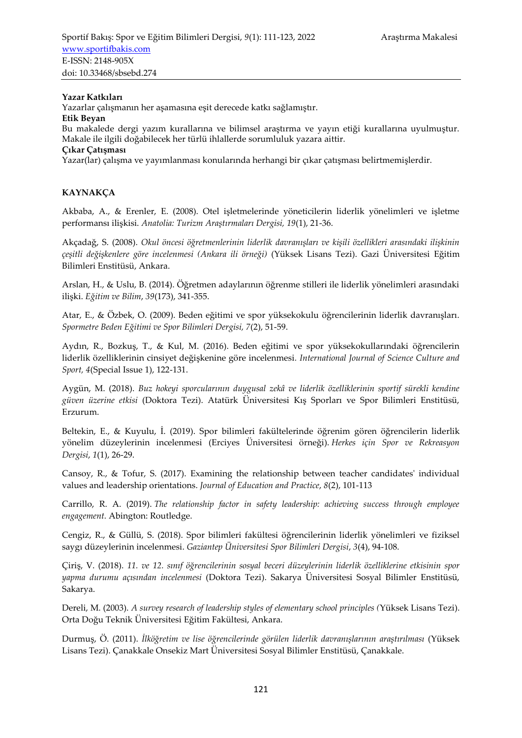### **Yazar Katkıları**

Yazarlar çalışmanın her aşamasına eşit derecede katkı sağlamıştır.

#### **Etik Beyan**

Bu makalede dergi yazım kurallarına ve bilimsel araştırma ve yayın etiği kurallarına uyulmuştur. Makale ile ilgili doğabilecek her türlü ihlallerde sorumluluk yazara aittir.

#### **Çıkar Çatışması**

Yazar(lar) çalışma ve yayımlanması konularında herhangi bir çıkar çatışması belirtmemişlerdir.

# **KAYNAKÇA**

Akbaba, A., & Erenler, E. (2008). Otel işletmelerinde yöneticilerin liderlik yönelimleri ve işletme performansı ilişkisi. *Anatolia: Turizm Araştırmaları Dergisi, 19*(1), 21-36.

Akçadağ, S. (2008). *Okul öncesi öğretmenlerinin liderlik davranışları ve kişili özellikleri arasındaki ilişkinin çeşitli değişkenlere göre incelenmesi (Ankara ili örneği)* (Yüksek Lisans Tezi). Gazi Üniversitesi Eğitim Bilimleri Enstitüsü, Ankara.

Arslan, H., & Uslu, B. (2014). Öğretmen adaylarının öğrenme stilleri ile liderlik yönelimleri arasındaki ilişki. *Eğitim ve Bilim*, *39*(173), 341-355.

Atar, E., & Özbek, O. (2009). Beden eğitimi ve spor yüksekokulu öğrencilerinin liderlik davranışları. *Spormetre Beden Eğitimi ve Spor Bilimleri Dergisi, 7*(2), 51-59.

Aydın, R., Bozkuş, T., & Kul, M. (2016). Beden eğitimi ve spor yüksekokullarındaki öğrencilerin liderlik özelliklerinin cinsiyet değişkenine göre incelenmesi*. International Journal of Science Culture and Sport, 4*(Special Issue 1), 122-131.

Aygün, M. (2018). *Buz hokeyi sporcularının duygusal zekâ ve liderlik özelliklerinin sportif sürekli kendine güven üzerine etkisi* (Doktora Tezi). Atatürk Üniversitesi Kış Sporları ve Spor Bilimleri Enstitüsü, Erzurum.

Beltekin, E., & Kuyulu, İ. (2019). Spor bilimleri fakültelerinde öğrenim gören öğrencilerin liderlik yönelim düzeylerinin incelenmesi (Erciyes Üniversitesi örneği). *Herkes için Spor ve Rekreasyon Dergisi*, *1*(1), 26-29.

Cansoy, R., & Tofur, S. (2017). Examining the relationship between teacher candidates' individual values and leadership orientations. *Journal of Education and Practice*, *8*(2), 101-113

Carrillo, R. A. (2019). *The relationship factor in safety leadership: achieving success through employee engagement.* Abington: Routledge.

Cengiz, R., & Güllü, S. (2018). Spor bilimleri fakültesi öğrencilerinin liderlik yönelimleri ve fiziksel saygı düzeylerinin incelenmesi. *Gaziantep Üniversitesi Spor Bilimleri Dergisi*, *3*(4), 94-108.

Çiriş, V. (2018). *11. ve 12. sınıf öğrencilerinin sosyal beceri düzeylerinin liderlik özelliklerine etkisinin spor yapma durumu açısından incelenmesi* (Doktora Tezi). Sakarya Üniversitesi Sosyal Bilimler Enstitüsü, Sakarya.

Dereli, M. (2003). *A survey research of leadership styles of elementary school principles (*Yüksek Lisans Tezi). Orta Doğu Teknik Üniversitesi Eğitim Fakültesi, Ankara.

Durmuş, Ö. (2011). *İlköğretim ve lise öğrencilerinde görülen liderlik davranışlarının araştırılması* (Yüksek Lisans Tezi). Çanakkale Onsekiz Mart Üniversitesi Sosyal Bilimler Enstitüsü, Çanakkale.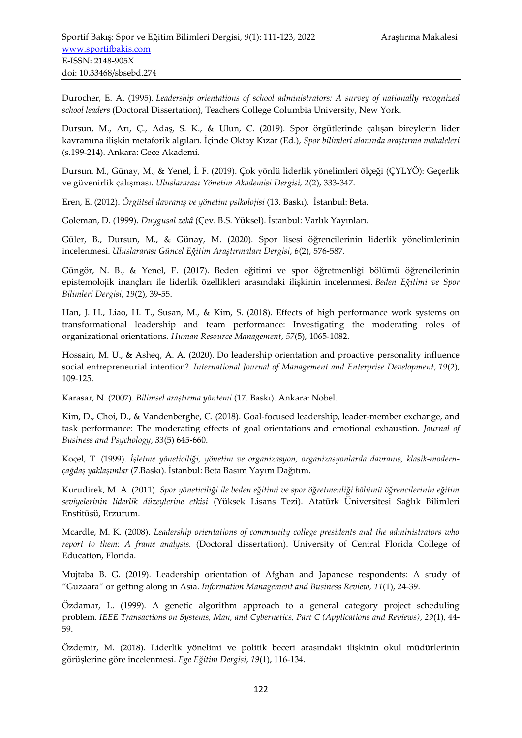Durocher, E. A. (1995). *Leadership orientations of school administrators: A survey of nationally recognized school leaders* (Doctoral Dissertation), Teachers College Columbia University, New York.

Dursun, M., Arı, Ç., Adaş, S. K., & Ulun, C. (2019). Spor örgütlerinde çalışan bireylerin lider kavramına ilişkin metaforik algıları. İçinde Oktay Kızar (Ed.), *Spor bilimleri alanında araştırma makaleleri* (s.199-214). Ankara: Gece Akademi.

Dursun, M., Günay, M., & Yenel, İ. F. (2019). Çok yönlü liderlik yönelimleri ölçeği (ÇYLYÖ): Geçerlik ve güvenirlik çalışması. *Uluslararası Yönetim Akademisi Dergisi, 2*(2), 333-347.

Eren, E. (2012). *Örgütsel davranış ve yönetim psikolojisi* (13. Baskı). İstanbul: Beta.

Goleman, D. (1999). *Duygusal zekâ* (Çev. B.S. Yüksel). İstanbul: Varlık Yayınları.

Güler, B., Dursun, M., & Günay, M. (2020). Spor lisesi öğrencilerinin liderlik yönelimlerinin incelenmesi. *Uluslararası Güncel Eğitim Araştırmaları Dergisi*, *6*(2), 576-587.

Güngör, N. B., & Yenel, F. (2017). Beden eğitimi ve spor öğretmenliği bölümü öğrencilerinin epistemolojik inançları ile liderlik özellikleri arasındaki ilişkinin incelenmesi. *Beden Eğitimi ve Spor Bilimleri Dergisi*, *19*(2), 39-55.

Han, J. H., Liao, H. T., Susan, M., & Kim, S. (2018). Effects of high performance work systems on transformational leadership and team performance: Investigating the moderating roles of organizational orientations. *Human Resource Management*, *57*(5), 1065-1082.

Hossain, M. U., & Asheq, A. A. (2020). Do leadership orientation and proactive personality influence social entrepreneurial intention?. *International Journal of Management and Enterprise Development*, *19*(2), 109-125.

Karasar, N. (2007). *Bilimsel araştırma yöntemi* (17. Baskı). Ankara: Nobel.

Kim, D., Choi, D., & Vandenberghe, C. (2018). Goal-focused leadership, leader-member exchange, and task performance: The moderating effects of goal orientations and emotional exhaustion. *Journal of Business and Psychology*, *33*(5) 645-660.

Koçel, T. (1999). *İşletme yöneticiliği, yönetim ve organizasyon, organizasyonlarda davranış, klasik-modernçağdaş yaklaşımlar* (7.Baskı). İstanbul: Beta Basım Yayım Dağıtım.

Kurudirek, M. A. (2011). *Spor yöneticiliği ile beden eğitimi ve spor öğretmenliği bölümü öğrencilerinin eğitim seviyelerinin liderlik düzeylerine etkisi* (Yüksek Lisans Tezi). Atatürk Üniversitesi Sağlık Bilimleri Enstitüsü, Erzurum.

Mcardle, M. K. (2008). *Leadership orientations of community college presidents and the administrators who report to them: A frame analysis.* (Doctoral dissertation). University of Central Florida College of Education, Florida.

Mujtaba B. G. (2019). Leadership orientation of Afghan and Japanese respondents: A study of "Guzaara" or getting along in Asia. *Information Management and Business Review, 11*(1), 24-39.

Özdamar, L. (1999). A genetic algorithm approach to a general category project scheduling problem. *IEEE Transactions on Systems, Man, and Cybernetics, Part C (Applications and Reviews)*, *29*(1), 44- 59.

Özdemir, M. (2018). Liderlik yönelimi ve politik beceri arasındaki ilişkinin okul müdürlerinin görüşlerine göre incelenmesi. *Ege Eğitim Dergisi*, *19*(1), 116-134.